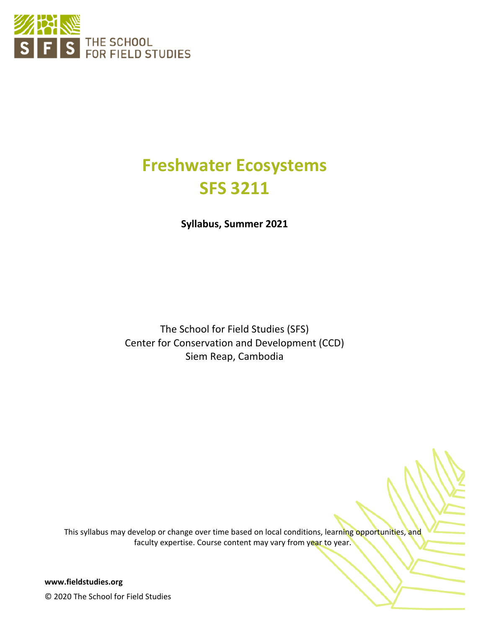

# **Freshwater Ecosystems SFS 3211**

**Syllabus, Summer 2021**

The School for Field Studies (SFS) Center for Conservation and Development (CCD) Siem Reap, Cambodia

This syllabus may develop or change over time based on local conditions, learning opportunities, and faculty expertise. Course content may vary from year to year.

**www.fieldstudies.org** © 2020 The School for Field Studies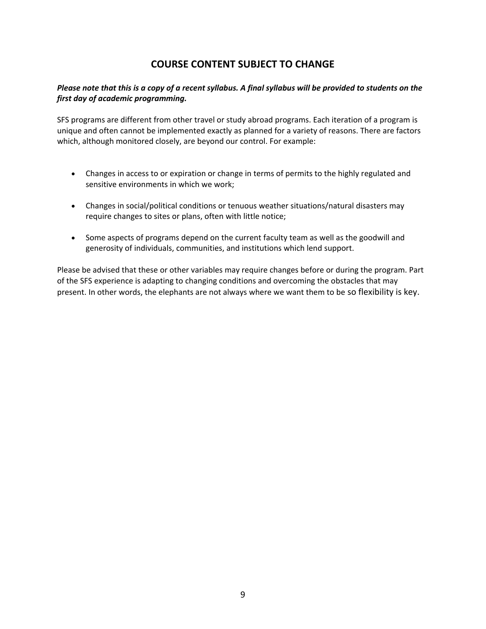# **COURSE CONTENT SUBJECT TO CHANGE**

#### *Please note that this is a copy of a recent syllabus. A final syllabus will be provided to students on the first day of academic programming.*

SFS programs are different from other travel or study abroad programs. Each iteration of a program is unique and often cannot be implemented exactly as planned for a variety of reasons. There are factors which, although monitored closely, are beyond our control. For example:

- Changes in access to or expiration or change in terms of permits to the highly regulated and sensitive environments in which we work;
- Changes in social/political conditions or tenuous weather situations/natural disasters may require changes to sites or plans, often with little notice;
- Some aspects of programs depend on the current faculty team as well as the goodwill and generosity of individuals, communities, and institutions which lend support.

Please be advised that these or other variables may require changes before or during the program. Part of the SFS experience is adapting to changing conditions and overcoming the obstacles that may present. In other words, the elephants are not always where we want them to be so flexibility is key.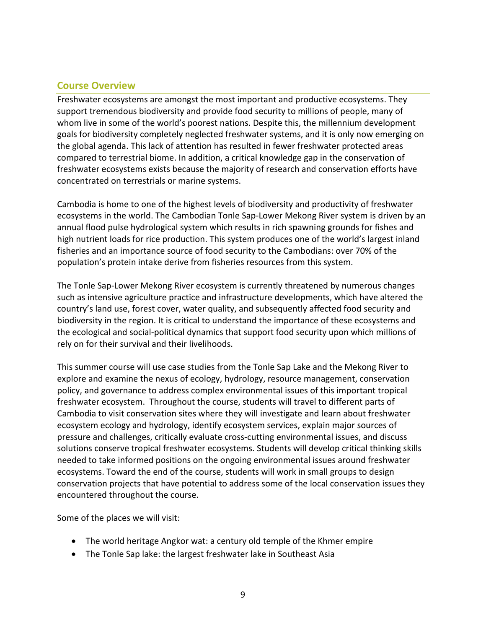# **Course Overview**

Freshwater ecosystems are amongst the most important and productive ecosystems. They support tremendous biodiversity and provide food security to millions of people, many of whom live in some of the world's poorest nations. Despite this, the millennium development goals for biodiversity completely neglected freshwater systems, and it is only now emerging on the global agenda. This lack of attention has resulted in fewer freshwater protected areas compared to terrestrial biome. In addition, a critical knowledge gap in the conservation of freshwater ecosystems exists because the majority of research and conservation efforts have concentrated on terrestrials or marine systems.

Cambodia is home to one of the highest levels of biodiversity and productivity of freshwater ecosystems in the world. The Cambodian Tonle Sap-Lower Mekong River system is driven by an annual flood pulse hydrological system which results in rich spawning grounds for fishes and high nutrient loads for rice production. This system produces one of the world's largest inland fisheries and an importance source of food security to the Cambodians: over 70% of the population's protein intake derive from fisheries resources from this system.

The Tonle Sap-Lower Mekong River ecosystem is currently threatened by numerous changes such as intensive agriculture practice and infrastructure developments, which have altered the country's land use, forest cover, water quality, and subsequently affected food security and biodiversity in the region. It is critical to understand the importance of these ecosystems and the ecological and social-political dynamics that support food security upon which millions of rely on for their survival and their livelihoods.

This summer course will use case studies from the Tonle Sap Lake and the Mekong River to explore and examine the nexus of ecology, hydrology, resource management, conservation policy, and governance to address complex environmental issues of this important tropical freshwater ecosystem. Throughout the course, students will travel to different parts of Cambodia to visit conservation sites where they will investigate and learn about freshwater ecosystem ecology and hydrology, identify ecosystem services, explain major sources of pressure and challenges, critically evaluate cross-cutting environmental issues, and discuss solutions conserve tropical freshwater ecosystems. Students will develop critical thinking skills needed to take informed positions on the ongoing environmental issues around freshwater ecosystems. Toward the end of the course, students will work in small groups to design conservation projects that have potential to address some of the local conservation issues they encountered throughout the course.

Some of the places we will visit:

- The world heritage Angkor wat: a century old temple of the Khmer empire
- The Tonle Sap lake: the largest freshwater lake in Southeast Asia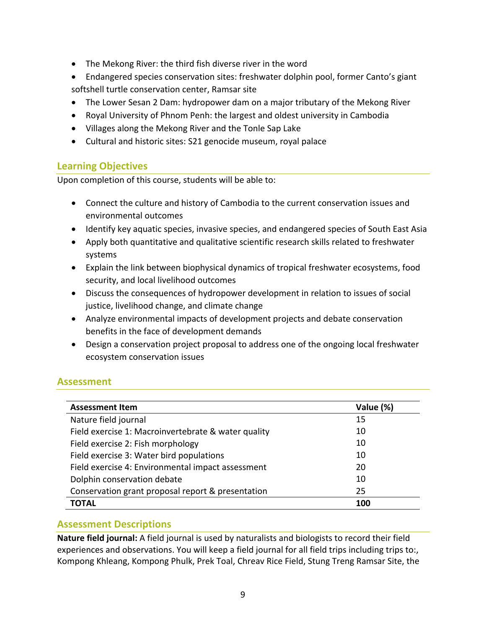- The Mekong River: the third fish diverse river in the word
- Endangered species conservation sites: freshwater dolphin pool, former Canto's giant softshell turtle conservation center, Ramsar site
- The Lower Sesan 2 Dam: hydropower dam on a major tributary of the Mekong River
- Royal University of Phnom Penh: the largest and oldest university in Cambodia
- Villages along the Mekong River and the Tonle Sap Lake
- Cultural and historic sites: S21 genocide museum, royal palace

# **Learning Objectives**

Upon completion of this course, students will be able to:

- Connect the culture and history of Cambodia to the current conservation issues and environmental outcomes
- Identify key aquatic species, invasive species, and endangered species of South East Asia
- Apply both quantitative and qualitative scientific research skills related to freshwater systems
- Explain the link between biophysical dynamics of tropical freshwater ecosystems, food security, and local livelihood outcomes
- Discuss the consequences of hydropower development in relation to issues of social justice, livelihood change, and climate change
- Analyze environmental impacts of development projects and debate conservation benefits in the face of development demands
- Design a conservation project proposal to address one of the ongoing local freshwater ecosystem conservation issues

# **Assessment**

| <b>Assessment Item</b>                              | Value (%) |
|-----------------------------------------------------|-----------|
| Nature field journal                                | 15        |
| Field exercise 1: Macroinvertebrate & water quality | 10        |
| Field exercise 2: Fish morphology                   | 10        |
| Field exercise 3: Water bird populations            | 10        |
| Field exercise 4: Environmental impact assessment   | 20        |
| Dolphin conservation debate                         | 10        |
| Conservation grant proposal report & presentation   | 25        |
| ΤΟΤΑL                                               | 100       |

# **Assessment Descriptions**

**Nature field journal:** A field journal is used by naturalists and biologists to record their field experiences and observations. You will keep a field journal for all field trips including trips to:, Kompong Khleang, Kompong Phulk, Prek Toal, Chreav Rice Field, Stung Treng Ramsar Site, the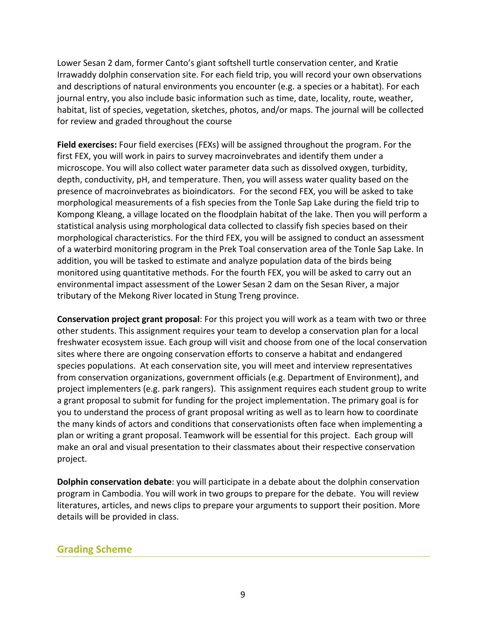Lower Sesan 2 dam, former Canto's giant softshell turtle conservation center, and Kratie Irrawaddy dolphin conservation site. For each field trip, you will record your own observations and descriptions of natural environments you encounter (e.g. a species or a habitat). For each journal entry, you also include basic information such as time, date, locality, route, weather, habitat, list of species, vegetation, sketches, photos, and/or maps. The journal will be collected for review and graded throughout the course

**Field exercises:** Four field exercises (FEXs) will be assigned throughout the program. For the first FEX, you will work in pairs to survey macroinvebrates and identify them under a microscope. You will also collect water parameter data such as dissolved oxygen, turbidity, depth, conductivity, pH, and temperature. Then, you will assess water quality based on the presence of macroinvebrates as bioindicators. For the second FEX, you will be asked to take morphological measurements of a fish species from the Tonle Sap Lake during the field trip to Kompong Kleang, a village located on the floodplain habitat of the lake. Then you will perform a statistical analysis using morphological data collected to classify fish species based on their morphological characteristics. For the third FEX, you will be assigned to conduct an assessment of a waterbird monitoring program in the Prek Toal conservation area of the Tonle Sap Lake. In addition, you will be tasked to estimate and analyze population data of the birds being monitored using quantitative methods. For the fourth FEX, you will be asked to carry out an environmental impact assessment of the Lower Sesan 2 dam on the Sesan River, a major tributary of the Mekong River located in Stung Treng province.

**Conservation project grant proposal**: For this project you will work as a team with two or three other students. This assignment requires your team to develop a conservation plan for a local freshwater ecosystem issue. Each group will visit and choose from one of the local conservation sites where there are ongoing conservation efforts to conserve a habitat and endangered species populations. At each conservation site, you will meet and interview representatives from conservation organizations, government officials (e.g. Department of Environment), and project implementers (e.g. park rangers). This assignment requires each student group to write a grant proposal to submit for funding for the project implementation. The primary goal is for you to understand the process of grant proposal writing as well as to learn how to coordinate the many kinds of actors and conditions that conservationists often face when implementing a plan or writing a grant proposal. Teamwork will be essential for this project. Each group will make an oral and visual presentation to their classmates about their respective conservation project.

**Dolphin conservation debate**: you will participate in a debate about the dolphin conservation program in Cambodia. You will work in two groups to prepare for the debate. You will review literatures, articles, and news clips to prepare your arguments to support their position. More details will be provided in class.

## **Grading Scheme**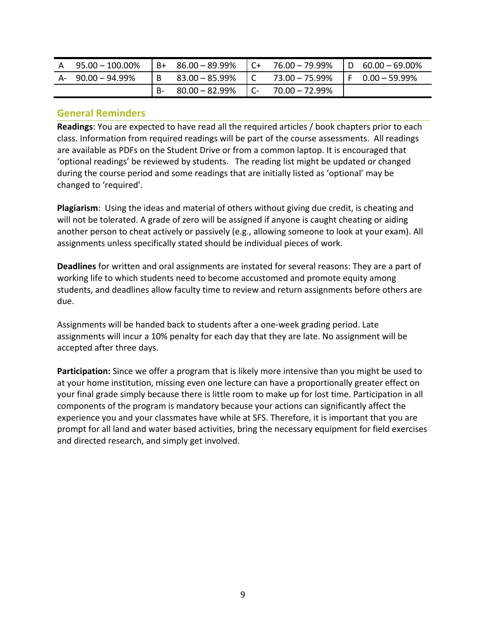| A 95.00 - 100.00% |     | $B+ 86.00 - 89.99\%$ | $\overline{C}$ | 76.00 – 79.99% | $ID 60.00 - 69.00\%$     |
|-------------------|-----|----------------------|----------------|----------------|--------------------------|
| A- 90.00 – 94.99% | IB. | 83.00 – 85.99%       | $\overline{C}$ | 73.00 – 75.99% | $\sqrt{5}$ 0.00 - 59.99% |
|                   |     | $80.00 - 82.99\%$    | i C-l          | 70.00 – 72.99% |                          |

#### **General Reminders**

**Readings**: You are expected to have read all the required articles / book chapters prior to each class. Information from required readings will be part of the course assessments. All readings are available as PDFs on the Student Drive or from a common laptop. It is encouraged that 'optional readings' be reviewed by students. The reading list might be updated or changed during the course period and some readings that are initially listed as 'optional' may be changed to 'required'.

**Plagiarism**: Using the ideas and material of others without giving due credit, is cheating and will not be tolerated. A grade of zero will be assigned if anyone is caught cheating or aiding another person to cheat actively or passively (e.g., allowing someone to look at your exam). All assignments unless specifically stated should be individual pieces of work.

**Deadlines** for written and oral assignments are instated for several reasons: They are a part of working life to which students need to become accustomed and promote equity among students, and deadlines allow faculty time to review and return assignments before others are due.

Assignments will be handed back to students after a one-week grading period. Late assignments will incur a 10% penalty for each day that they are late. No assignment will be accepted after three days.

**Participation:** Since we offer a program that is likely more intensive than you might be used to at your home institution, missing even one lecture can have a proportionally greater effect on your final grade simply because there is little room to make up for lost time. Participation in all components of the program is mandatory because your actions can significantly affect the experience you and your classmates have while at SFS. Therefore, it is important that you are prompt for all land and water based activities, bring the necessary equipment for field exercises and directed research, and simply get involved.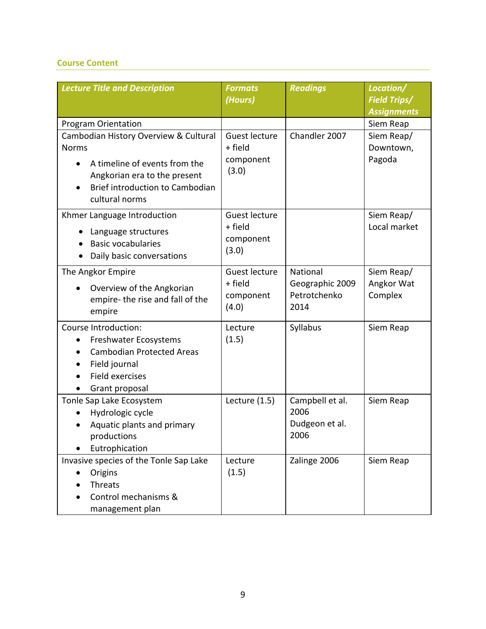### **Course Content**

| <b>Lecture Title and Description</b>                          | <b>Formats</b><br>(Hours) | <b>Readings</b>         | Location/<br><b>Field Trips/</b> |
|---------------------------------------------------------------|---------------------------|-------------------------|----------------------------------|
|                                                               |                           |                         | <b>Assignments</b>               |
| <b>Program Orientation</b>                                    |                           |                         | Siem Reap                        |
| Cambodian History Overview & Cultural<br><b>Norms</b>         | Guest lecture<br>+ field  | Chandler 2007           | Siem Reap/<br>Downtown,          |
|                                                               | component                 |                         | Pagoda                           |
| A timeline of events from the<br>Angkorian era to the present | (3.0)                     |                         |                                  |
| Brief introduction to Cambodian                               |                           |                         |                                  |
| cultural norms                                                |                           |                         |                                  |
| Khmer Language Introduction                                   | Guest lecture             |                         | Siem Reap/                       |
| Language structures                                           | + field                   |                         | Local market                     |
| <b>Basic vocabularies</b>                                     | component                 |                         |                                  |
| Daily basic conversations                                     | (3.0)                     |                         |                                  |
| The Angkor Empire                                             | Guest lecture             | National                | Siem Reap/                       |
| Overview of the Angkorian                                     | + field                   | Geographic 2009         | Angkor Wat                       |
| empire-the rise and fall of the                               | component                 | Petrotchenko            | Complex                          |
| empire                                                        | (4.0)                     | 2014                    |                                  |
| Course Introduction:                                          | Lecture                   | Syllabus                | Siem Reap                        |
| Freshwater Ecosystems                                         | (1.5)                     |                         |                                  |
| <b>Cambodian Protected Areas</b>                              |                           |                         |                                  |
| Field journal                                                 |                           |                         |                                  |
| <b>Field exercises</b>                                        |                           |                         |                                  |
| Grant proposal                                                |                           |                         |                                  |
| Tonle Sap Lake Ecosystem<br>Hydrologic cycle                  | Lecture $(1.5)$           | Campbell et al.<br>2006 | Siem Reap                        |
| Aquatic plants and primary                                    |                           | Dudgeon et al.          |                                  |
| productions                                                   |                           | 2006                    |                                  |
| Eutrophication                                                |                           |                         |                                  |
| Invasive species of the Tonle Sap Lake                        | Lecture                   | Zalinge 2006            | Siem Reap                        |
| Origins                                                       | (1.5)                     |                         |                                  |
| <b>Threats</b>                                                |                           |                         |                                  |
| Control mechanisms &                                          |                           |                         |                                  |
| management plan                                               |                           |                         |                                  |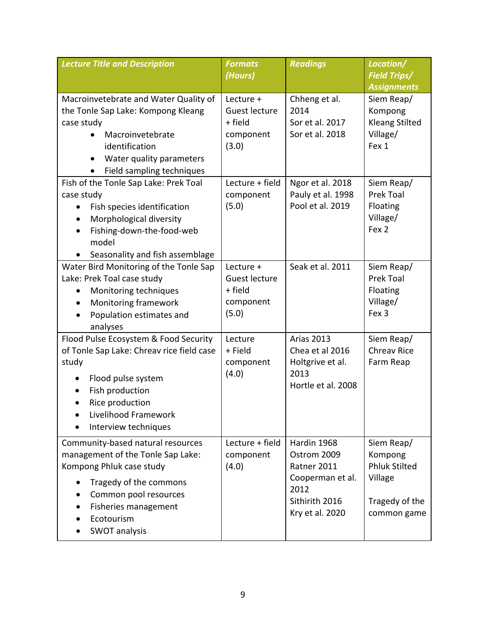| <b>Lecture Title and Description</b>                                                                                                                                                                                                       | <b>Formats</b><br>(Hours)                                   | <b>Readings</b>                                                                                            | Location/<br><b>Field Trips/</b>                                                          |
|--------------------------------------------------------------------------------------------------------------------------------------------------------------------------------------------------------------------------------------------|-------------------------------------------------------------|------------------------------------------------------------------------------------------------------------|-------------------------------------------------------------------------------------------|
|                                                                                                                                                                                                                                            |                                                             |                                                                                                            | <b>Assignments</b>                                                                        |
| Macroinvetebrate and Water Quality of<br>the Tonle Sap Lake: Kompong Kleang<br>case study<br>Macroinvetebrate<br>identification<br>Water quality parameters<br>Field sampling techniques                                                   | Lecture +<br>Guest lecture<br>+ field<br>component<br>(3.0) | Chheng et al.<br>2014<br>Sor et al. 2017<br>Sor et al. 2018                                                | Siem Reap/<br>Kompong<br><b>Kleang Stilted</b><br>Village/<br>Fex 1                       |
| Fish of the Tonle Sap Lake: Prek Toal<br>case study<br>Fish species identification<br>$\bullet$<br>Morphological diversity<br>$\bullet$<br>Fishing-down-the-food-web<br>$\bullet$<br>model<br>Seasonality and fish assemblage<br>$\bullet$ | Lecture + field<br>component<br>(5.0)                       | Ngor et al. 2018<br>Pauly et al. 1998<br>Pool et al. 2019                                                  | Siem Reap/<br>Prek Toal<br>Floating<br>Village/<br>Fex <sub>2</sub>                       |
| Water Bird Monitoring of the Tonle Sap<br>Lake: Prek Toal case study<br>Monitoring techniques<br>Monitoring framework<br>$\bullet$<br>Population estimates and<br>analyses                                                                 | Lecture +<br>Guest lecture<br>+ field<br>component<br>(5.0) | Seak et al. 2011                                                                                           | Siem Reap/<br>Prek Toal<br>Floating<br>Village/<br>Fex 3                                  |
| Flood Pulse Ecosystem & Food Security<br>of Tonle Sap Lake: Chreav rice field case<br>study<br>Flood pulse system<br>Fish production<br>Rice production<br>$\bullet$<br>Livelihood Framework<br>Interview techniques                       | Lecture<br>+ Field<br>component<br>(4.0)                    | <b>Arias 2013</b><br>Chea et al 2016<br>Holtgrive et al.<br>2013<br>Hortle et al. 2008                     | Siem Reap/<br><b>Chreav Rice</b><br>Farm Reap                                             |
| Community-based natural resources<br>management of the Tonle Sap Lake:<br>Kompong Phluk case study<br>Tragedy of the commons<br>Common pool resources<br>Fisheries management<br>Ecotourism<br>SWOT analysis                               | Lecture + field<br>component<br>(4.0)                       | Hardin 1968<br>Ostrom 2009<br>Ratner 2011<br>Cooperman et al.<br>2012<br>Sithirith 2016<br>Kry et al. 2020 | Siem Reap/<br>Kompong<br><b>Phluk Stilted</b><br>Village<br>Tragedy of the<br>common game |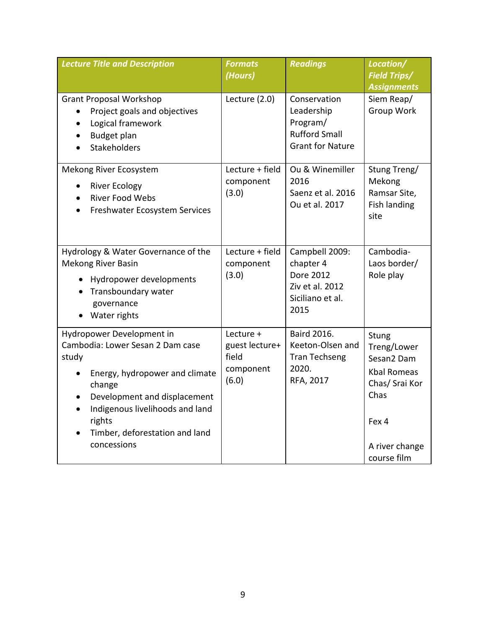| <b>Lecture Title and Description</b>                                                                                                                                                                                                             | <b>Formats</b><br>(Hours)                                  | <b>Readings</b>                                                                           | Location/<br><b>Field Trips/</b><br><b>Assignments</b>                                                                       |
|--------------------------------------------------------------------------------------------------------------------------------------------------------------------------------------------------------------------------------------------------|------------------------------------------------------------|-------------------------------------------------------------------------------------------|------------------------------------------------------------------------------------------------------------------------------|
| <b>Grant Proposal Workshop</b><br>Project goals and objectives<br>Logical framework<br>$\bullet$<br>Budget plan<br>Stakeholders                                                                                                                  | Lecture (2.0)                                              | Conservation<br>Leadership<br>Program/<br><b>Rufford Small</b><br><b>Grant for Nature</b> | Siem Reap/<br>Group Work                                                                                                     |
| Mekong River Ecosystem<br><b>River Ecology</b><br><b>River Food Webs</b><br>Freshwater Ecosystem Services                                                                                                                                        | Lecture + field<br>component<br>(3.0)                      | Ou & Winemiller<br>2016<br>Saenz et al. 2016<br>Ou et al. 2017                            | Stung Treng/<br>Mekong<br>Ramsar Site,<br>Fish landing<br>site                                                               |
| Hydrology & Water Governance of the<br><b>Mekong River Basin</b><br>Hydropower developments<br>Transboundary water<br>governance<br>Water rights                                                                                                 | Lecture + field<br>component<br>(3.0)                      | Campbell 2009:<br>chapter 4<br>Dore 2012<br>Ziv et al. 2012<br>Siciliano et al.<br>2015   | Cambodia-<br>Laos border/<br>Role play                                                                                       |
| Hydropower Development in<br>Cambodia: Lower Sesan 2 Dam case<br>study<br>Energy, hydropower and climate<br>change<br>Development and displacement<br>Indigenous livelihoods and land<br>rights<br>Timber, deforestation and land<br>concessions | Lecture +<br>guest lecture+<br>field<br>component<br>(6.0) | Baird 2016.<br>Keeton-Olsen and<br><b>Tran Techseng</b><br>2020.<br>RFA, 2017             | Stung<br>Treng/Lower<br>Sesan2 Dam<br><b>Kbal Romeas</b><br>Chas/ Srai Kor<br>Chas<br>Fex 4<br>A river change<br>course film |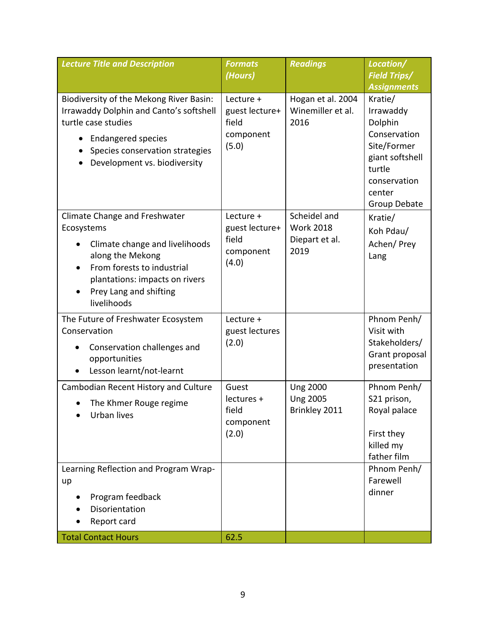| <b>Lecture Title and Description</b>                                                                                                                                                                                         | <b>Formats</b><br>(Hours)                                  | <b>Readings</b>                                            | Location/<br><b>Field Trips/</b>                                                                                                      |
|------------------------------------------------------------------------------------------------------------------------------------------------------------------------------------------------------------------------------|------------------------------------------------------------|------------------------------------------------------------|---------------------------------------------------------------------------------------------------------------------------------------|
|                                                                                                                                                                                                                              |                                                            |                                                            | <b>Assignments</b>                                                                                                                    |
| Biodiversity of the Mekong River Basin:<br>Irrawaddy Dolphin and Canto's softshell<br>turtle case studies<br><b>Endangered species</b><br>$\bullet$<br>Species conservation strategies<br>Development vs. biodiversity       | Lecture +<br>guest lecture+<br>field<br>component<br>(5.0) | Hogan et al. 2004<br>Winemiller et al.<br>2016             | Kratie/<br>Irrawaddy<br>Dolphin<br>Conservation<br>Site/Former<br>giant softshell<br>turtle<br>conservation<br>center<br>Group Debate |
| Climate Change and Freshwater<br>Ecosystems<br>Climate change and livelihoods<br>along the Mekong<br>From forests to industrial<br>$\bullet$<br>plantations: impacts on rivers<br>Prey Lang and shifting<br>٠<br>livelihoods | Lecture +<br>guest lecture+<br>field<br>component<br>(4.0) | Scheidel and<br><b>Work 2018</b><br>Diepart et al.<br>2019 | Kratie/<br>Koh Pdau/<br>Achen/Prey<br>Lang                                                                                            |
| The Future of Freshwater Ecosystem<br>Conservation<br>Conservation challenges and<br>opportunities<br>Lesson learnt/not-learnt                                                                                               | Lecture +<br>guest lectures<br>(2.0)                       |                                                            | Phnom Penh/<br>Visit with<br>Stakeholders/<br>Grant proposal<br>presentation                                                          |
| Cambodian Recent History and Culture<br>The Khmer Rouge regime<br>Urban lives                                                                                                                                                | Guest<br>lectures +<br>field<br>component<br>(2.0)         | <b>Ung 2000</b><br><b>Ung 2005</b><br>Brinkley 2011        | Phnom Penh/<br>S21 prison,<br>Royal palace<br>First they<br>killed my<br>father film                                                  |
| Learning Reflection and Program Wrap-<br>up<br>Program feedback<br>Disorientation<br>Report card<br><b>Total Contact Hours</b>                                                                                               | 62.5                                                       |                                                            | Phnom Penh/<br>Farewell<br>dinner                                                                                                     |
|                                                                                                                                                                                                                              |                                                            |                                                            |                                                                                                                                       |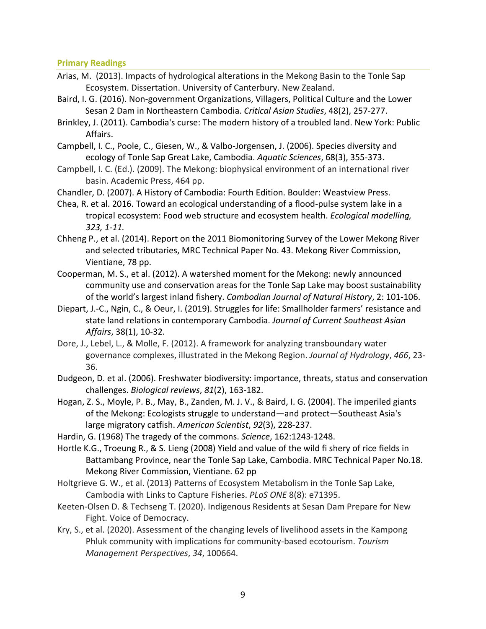**Primary Readings**

- Arias, M. (2013). Impacts of hydrological alterations in the Mekong Basin to the Tonle Sap Ecosystem. Dissertation. University of Canterbury. New Zealand.
- Baird, I. G. (2016). Non-government Organizations, Villagers, Political Culture and the Lower Sesan 2 Dam in Northeastern Cambodia. *Critical Asian Studies*, 48(2), 257-277.
- Brinkley, J. (2011). Cambodia's curse: The modern history of a troubled land. New York: Public Affairs.
- Campbell, I. C., Poole, C., Giesen, W., & Valbo-Jorgensen, J. (2006). Species diversity and ecology of Tonle Sap Great Lake, Cambodia. *Aquatic Sciences*, 68(3), 355-373.
- Campbell, I. C. (Ed.). (2009). The Mekong: biophysical environment of an international river basin. Academic Press, 464 pp.
- Chandler, D. (2007). A History of Cambodia: Fourth Edition. Boulder: Weastview Press.
- Chea, R. et al. 2016. Toward an ecological understanding of a flood-pulse system lake in a tropical ecosystem: Food web structure and ecosystem health. *Ecological modelling, 323, 1-11.*
- Chheng P., et al. (2014). Report on the 2011 Biomonitoring Survey of the Lower Mekong River and selected tributaries, MRC Technical Paper No. 43. Mekong River Commission, Vientiane, 78 pp.
- Cooperman, M. S., et al. (2012). A watershed moment for the Mekong: newly announced community use and conservation areas for the Tonle Sap Lake may boost sustainability of the world's largest inland fishery. *Cambodian Journal of Natural History*, 2: 101-106.
- Diepart, J.-C., Ngin, C., & Oeur, I. (2019). Struggles for life: Smallholder farmers' resistance and state land relations in contemporary Cambodia. *Journal of Current Southeast Asian Affairs*, 38(1), 10-32.
- Dore, J., Lebel, L., & Molle, F. (2012). A framework for analyzing transboundary water governance complexes, illustrated in the Mekong Region. *Journal of Hydrology*, *466*, 23- 36.
- Dudgeon, D. et al. (2006). Freshwater biodiversity: importance, threats, status and conservation challenges. *Biological reviews*, *81*(2), 163-182.
- Hogan, Z. S., Moyle, P. B., May, B., Zanden, M. J. V., & Baird, I. G. (2004). The imperiled giants of the Mekong: Ecologists struggle to understand—and protect—Southeast Asia's large migratory catfish. *American Scientist*, *92*(3), 228-237.
- Hardin, G. (1968) The tragedy of the commons. *Science*, 162:1243-1248.
- Hortle K.G., Troeung R., & S. Lieng (2008) Yield and value of the wild fi shery of rice fields in Battambang Province, near the Tonle Sap Lake, Cambodia. MRC Technical Paper No.18. Mekong River Commission, Vientiane. 62 pp
- Holtgrieve G. W., et al. (2013) Patterns of Ecosystem Metabolism in the Tonle Sap Lake, Cambodia with Links to Capture Fisheries. *PLoS ONE* 8(8): e71395.
- Keeten-Olsen D. & Techseng T. (2020). Indigenous Residents at Sesan Dam Prepare for New Fight. Voice of Democracy.
- Kry, S., et al. (2020). Assessment of the changing levels of livelihood assets in the Kampong Phluk community with implications for community-based ecotourism. *Tourism Management Perspectives*, *34*, 100664.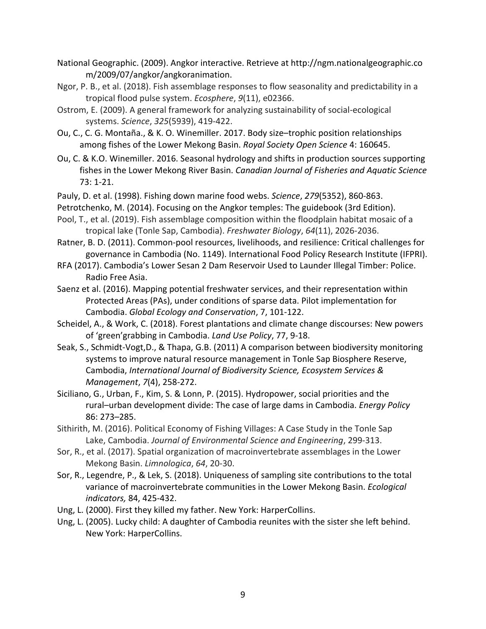- National Geographic. (2009). Angkor interactive. Retrieve at http://ngm.nationalgeographic.co m/2009/07/angkor/angkoranimation.
- Ngor, P. B., et al. (2018). Fish assemblage responses to flow seasonality and predictability in a tropical flood pulse system. *Ecosphere*, *9*(11), e02366.
- Ostrom, E. (2009). A general framework for analyzing sustainability of social-ecological systems. *Science*, *325*(5939), 419-422.
- Ou, C., C. G. Montaña., & K. O. Winemiller. 2017. Body size–trophic position relationships among fishes of the Lower Mekong Basin. *Royal Society Open Science* 4: 160645.
- Ou, C. & K.O. Winemiller. 2016. Seasonal hydrology and shifts in production sources supporting fishes in the Lower Mekong River Basin. *Canadian Journal of Fisheries and Aquatic Science*  73: 1-21.
- Pauly, D. et al. (1998). Fishing down marine food webs. *Science*, *279*(5352), 860-863.
- Petrotchenko, M. (2014). Focusing on the Angkor temples: The guidebook (3rd Edition).
- Pool, T., et al. (2019). Fish assemblage composition within the floodplain habitat mosaic of a tropical lake (Tonle Sap, Cambodia). *Freshwater Biology*, *64*(11), 2026-2036.
- Ratner, B. D. (2011). Common-pool resources, livelihoods, and resilience: Critical challenges for governance in Cambodia (No. 1149). International Food Policy Research Institute (IFPRI).
- RFA (2017). Cambodia's Lower Sesan 2 Dam Reservoir Used to Launder Illegal Timber: Police. Radio Free Asia.
- Saenz et al. (2016). Mapping potential freshwater services, and their representation within Protected Areas (PAs), under conditions of sparse data. Pilot implementation for Cambodia. *Global Ecology and Conservation*, 7, 101-122.
- Scheidel, A., & Work, C. (2018). Forest plantations and climate change discourses: New powers of 'green'grabbing in Cambodia. *Land Use Policy*, 77, 9-18.
- Seak, S., Schmidt-Vogt,D., & Thapa, G.B. (2011) A comparison between biodiversity monitoring systems to improve natural resource management in Tonle Sap Biosphere Reserve, Cambodia, *International Journal of Biodiversity Science, Ecosystem Services & Management*, *7*(4), 258-272.
- Siciliano, G., Urban, F., Kim, S. & Lonn, P. (2015). Hydropower, social priorities and the rural–urban development divide: The case of large dams in Cambodia. *Energy Policy* 86: 273–285.
- Sithirith, M. (2016). Political Economy of Fishing Villages: A Case Study in the Tonle Sap Lake, Cambodia. *Journal of Environmental Science and Engineering*, 299-313.
- Sor, R., et al. (2017). Spatial organization of macroinvertebrate assemblages in the Lower Mekong Basin. *Limnologica*, *64*, 20-30.
- Sor, R., Legendre, P., & Lek, S. (2018). Uniqueness of sampling site contributions to the total variance of macroinvertebrate communities in the Lower Mekong Basin. *Ecological indicators,* 84, 425-432.
- Ung, L. (2000). First they killed my father. New York: HarperCollins.
- Ung, L. (2005). Lucky child: A daughter of Cambodia reunites with the sister she left behind. New York: HarperCollins.